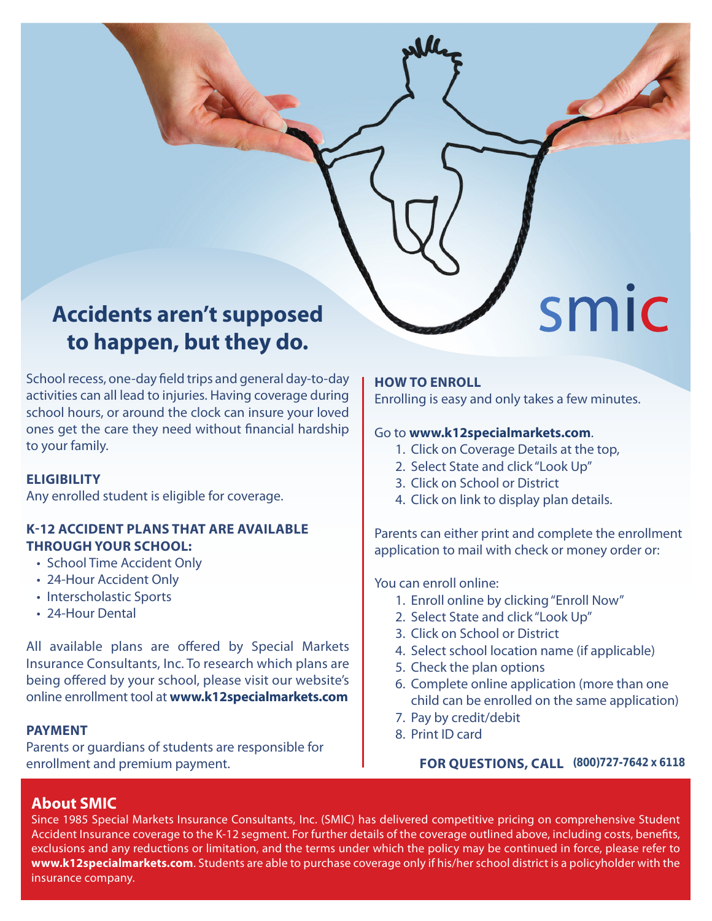# **Accidents aren't supposed to happen, but they do.**

School recess, one-day field trips and general day-to-day activities can all lead to injuries. Having coverage during school hours, or around the clock can insure your loved ones get the care they need without financial hardship to your family.

# **ELIGIBILITY**

Any enrolled student is eligible for coverage.

# **K-12 ACCIDENT PLANS THAT ARE AVAILABLE THROUGH YOUR SCHOOL:**

- School Time Accident Only
- 24-Hour Accident Only
- Interscholastic Sports
- 24-Hour Dental

All available plans are offered by Special Markets Insurance Consultants, Inc. To research which plans are being offered by your school, please visit our website's online enrollment tool at **www.k12specialmarkets.com**

#### **PAYMENT**

Parents or guardians of students are responsible for enrollment and premium payment.

#### **HOW TO ENROLL**

Enrolling is easy and only takes a few minutes.

smic

#### Go to **www.k12specialmarkets.com**.

- 1. Click on Coverage Details at the top,
- 2. Select State and click "Look Up"
- 3. Click on School or District
- 4. Click on link to display plan details.

Parents can either print and complete the enrollment application to mail with check or money order or:

You can enroll online:

- 1. Enroll online by clicking "Enroll Now"
- 2. Select State and click "Look Up"
- 3. Click on School or District
- 4. Select school location name (if applicable)
- 5. Check the plan options
- 6. Complete online application (more than one child can be enrolled on the same application)
- 7. Pay by credit/debit
- 8. Print ID card

 **FOR QUESTIONS, CALL (800)727-7642 x 6118**

# **About SMIC**

Since 1985 Special Markets Insurance Consultants, Inc. (SMIC) has delivered competitive pricing on comprehensive Student Accident Insurance coverage to the K-12 segment. For further details of the coverage outlined above, including costs, benefits, exclusions and any reductions or limitation, and the terms under which the policy may be continued in force, please refer to **www.k12specialmarkets.com**. Students are able to purchase coverage only if his/her school district is a policyholder with the insurance company.